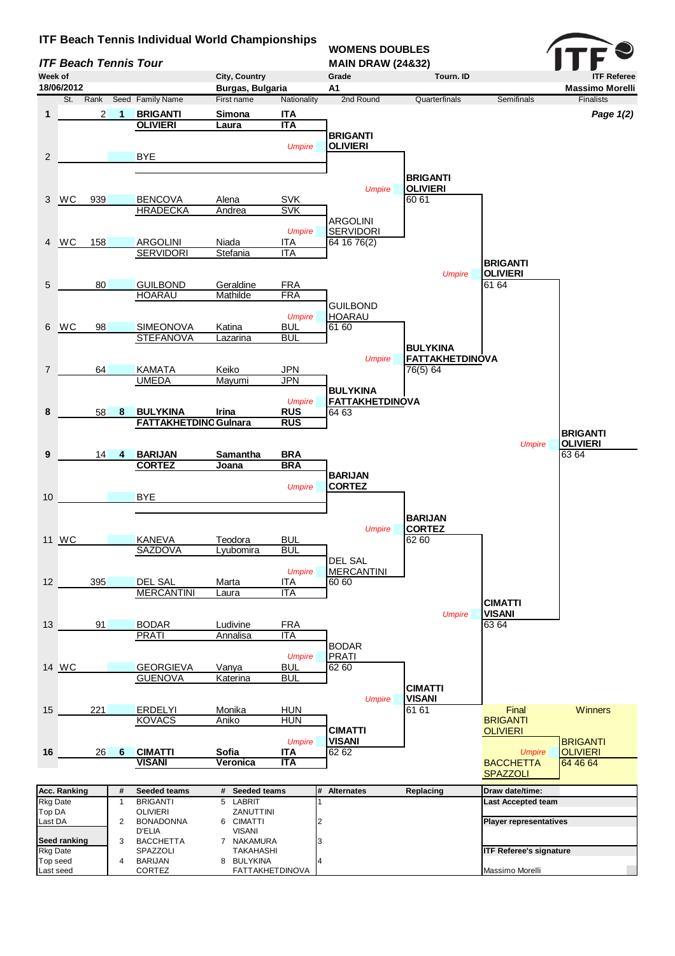